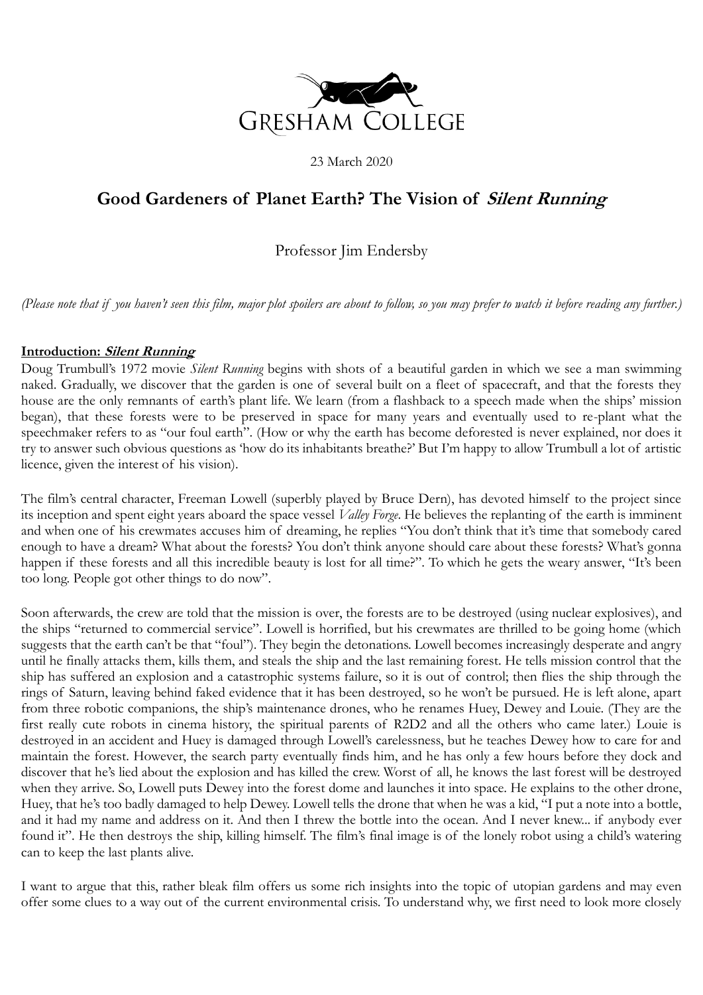

23 March 2020

# **Good Gardeners of Planet Earth? The Vision of Silent Running**

# Professor Jim Endersby

*(Please note that if you haven't seen this film, major plot spoilers are about to follow, so you may prefer to watch it before reading any further.)*

#### **Introduction: Silent Running**

Doug Trumbull's 1972 movie *Silent Running* begins with shots of a beautiful garden in which we see a man swimming naked. Gradually, we discover that the garden is one of several built on a fleet of spacecraft, and that the forests they house are the only remnants of earth's plant life. We learn (from a flashback to a speech made when the ships' mission began), that these forests were to be preserved in space for many years and eventually used to re-plant what the speechmaker refers to as "our foul earth". (How or why the earth has become deforested is never explained, nor does it try to answer such obvious questions as 'how do its inhabitants breathe?' But I'm happy to allow Trumbull a lot of artistic licence, given the interest of his vision).

The film's central character, Freeman Lowell (superbly played by Bruce Dern), has devoted himself to the project since its inception and spent eight years aboard the space vessel *Valley Forge*. He believes the replanting of the earth is imminent and when one of his crewmates accuses him of dreaming, he replies "You don't think that it's time that somebody cared enough to have a dream? What about the forests? You don't think anyone should care about these forests? What's gonna happen if these forests and all this incredible beauty is lost for all time?". To which he gets the weary answer, "It's been too long. People got other things to do now".

Soon afterwards, the crew are told that the mission is over, the forests are to be destroyed (using nuclear explosives), and the ships "returned to commercial service". Lowell is horrified, but his crewmates are thrilled to be going home (which suggests that the earth can't be that "foul"). They begin the detonations. Lowell becomes increasingly desperate and angry until he finally attacks them, kills them, and steals the ship and the last remaining forest. He tells mission control that the ship has suffered an explosion and a catastrophic systems failure, so it is out of control; then flies the ship through the rings of Saturn, leaving behind faked evidence that it has been destroyed, so he won't be pursued. He is left alone, apart from three robotic companions, the ship's maintenance drones, who he renames Huey, Dewey and Louie. (They are the first really cute robots in cinema history, the spiritual parents of R2D2 and all the others who came later.) Louie is destroyed in an accident and Huey is damaged through Lowell's carelessness, but he teaches Dewey how to care for and maintain the forest. However, the search party eventually finds him, and he has only a few hours before they dock and discover that he's lied about the explosion and has killed the crew. Worst of all, he knows the last forest will be destroyed when they arrive. So, Lowell puts Dewey into the forest dome and launches it into space. He explains to the other drone, Huey, that he's too badly damaged to help Dewey. Lowell tells the drone that when he was a kid, "I put a note into a bottle, and it had my name and address on it. And then I threw the bottle into the ocean. And I never knew... if anybody ever found it". He then destroys the ship, killing himself. The film's final image is of the lonely robot using a child's watering can to keep the last plants alive.

I want to argue that this, rather bleak film offers us some rich insights into the topic of utopian gardens and may even offer some clues to a way out of the current environmental crisis. To understand why, we first need to look more closely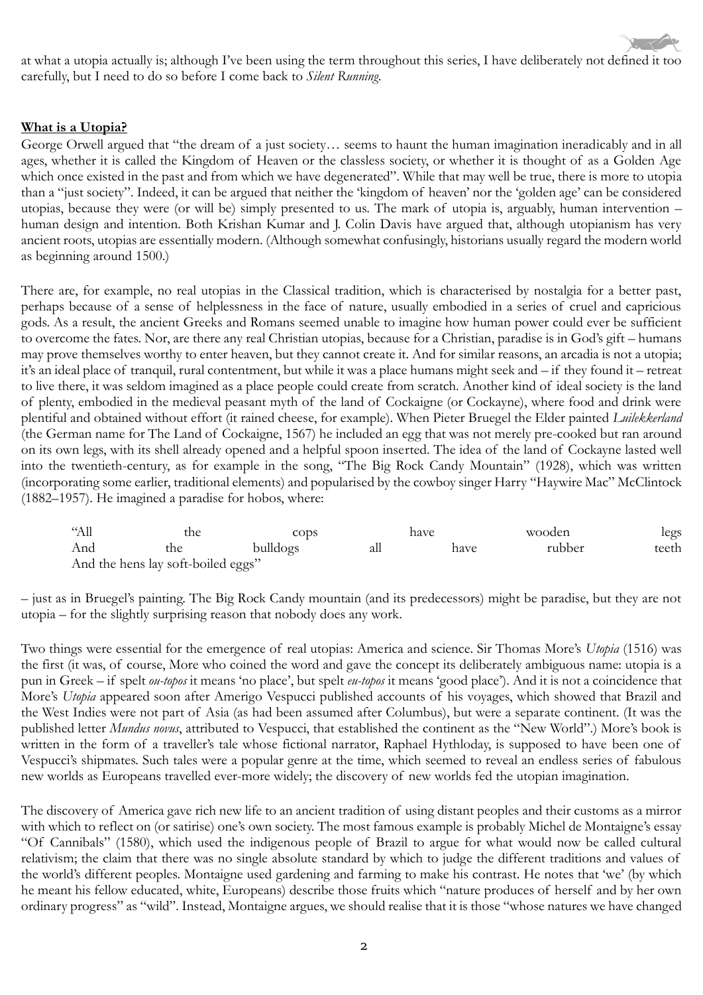at what a utopia actually is; although I've been using the term throughout this series, I have deliberately not defined it too carefully, but I need to do so before I come back to *Silent Running*.

## **What is a Utopia?**

George Orwell argued that "the dream of a just society… seems to haunt the human imagination ineradicably and in all ages, whether it is called the Kingdom of Heaven or the classless society, or whether it is thought of as a Golden Age which once existed in the past and from which we have degenerated". While that may well be true, there is more to utopia than a "just society". Indeed, it can be argued that neither the 'kingdom of heaven' nor the 'golden age' can be considered utopias, because they were (or will be) simply presented to us. The mark of utopia is, arguably, human intervention – human design and intention. Both Krishan Kumar and J. Colin Davis have argued that, although utopianism has very ancient roots, utopias are essentially modern. (Although somewhat confusingly, historians usually regard the modern world as beginning around 1500.)

There are, for example, no real utopias in the Classical tradition, which is characterised by nostalgia for a better past, perhaps because of a sense of helplessness in the face of nature, usually embodied in a series of cruel and capricious gods. As a result, the ancient Greeks and Romans seemed unable to imagine how human power could ever be sufficient to overcome the fates. Nor, are there any real Christian utopias, because for a Christian, paradise is in God's gift – humans may prove themselves worthy to enter heaven, but they cannot create it. And for similar reasons, an arcadia is not a utopia; it's an ideal place of tranquil, rural contentment, but while it was a place humans might seek and – if they found it – retreat to live there, it was seldom imagined as a place people could create from scratch. Another kind of ideal society is the land of plenty, embodied in the medieval peasant myth of the land of Cockaigne (or Cockayne), where food and drink were plentiful and obtained without effort (it rained cheese, for example). When Pieter Bruegel the Elder painted *Luilekkerland* (the German name for The Land of Cockaigne, 1567) he included an egg that was not merely pre-cooked but ran around on its own legs, with its shell already opened and a helpful spoon inserted. The idea of the land of Cockayne lasted well into the twentieth-century, as for example in the song, "The Big Rock Candy Mountain" (1928), which was written (incorporating some earlier, traditional elements) and popularised by the cowboy singer Harry "Haywire Mac" McClintock (1882–1957). He imagined a paradise for hobos, where:

| $\alpha$ All | the                                | have<br>cops |     |      | wooden | legs  |
|--------------|------------------------------------|--------------|-----|------|--------|-------|
| And          | the                                | bulldogs     | all | have | rubber | teeth |
|              | And the hens lay soft-boiled eggs" |              |     |      |        |       |

– just as in Bruegel's painting. The Big Rock Candy mountain (and its predecessors) might be paradise, but they are not utopia – for the slightly surprising reason that nobody does any work.

Two things were essential for the emergence of real utopias: America and science. Sir Thomas More's *Utopia* (1516) was the first (it was, of course, More who coined the word and gave the concept its deliberately ambiguous name: utopia is a pun in Greek – if spelt *ou-topos* it means 'no place', but spelt *eu-topos* it means 'good place'). And it is not a coincidence that More's *Utopia* appeared soon after Amerigo Vespucci published accounts of his voyages, which showed that Brazil and the West Indies were not part of Asia (as had been assumed after Columbus), but were a separate continent. (It was the published letter *Mundus novus*, attributed to Vespucci, that established the continent as the "New World".) More's book is written in the form of a traveller's tale whose fictional narrator, Raphael Hythloday, is supposed to have been one of Vespucci's shipmates. Such tales were a popular genre at the time, which seemed to reveal an endless series of fabulous new worlds as Europeans travelled ever-more widely; the discovery of new worlds fed the utopian imagination.

The discovery of America gave rich new life to an ancient tradition of using distant peoples and their customs as a mirror with which to reflect on (or satirise) one's own society. The most famous example is probably Michel de Montaigne's essay "Of Cannibals" (1580), which used the indigenous people of Brazil to argue for what would now be called cultural relativism; the claim that there was no single absolute standard by which to judge the different traditions and values of the world's different peoples. Montaigne used gardening and farming to make his contrast. He notes that 'we' (by which he meant his fellow educated, white, Europeans) describe those fruits which "nature produces of herself and by her own ordinary progress" as "wild". Instead, Montaigne argues, we should realise that it is those "whose natures we have changed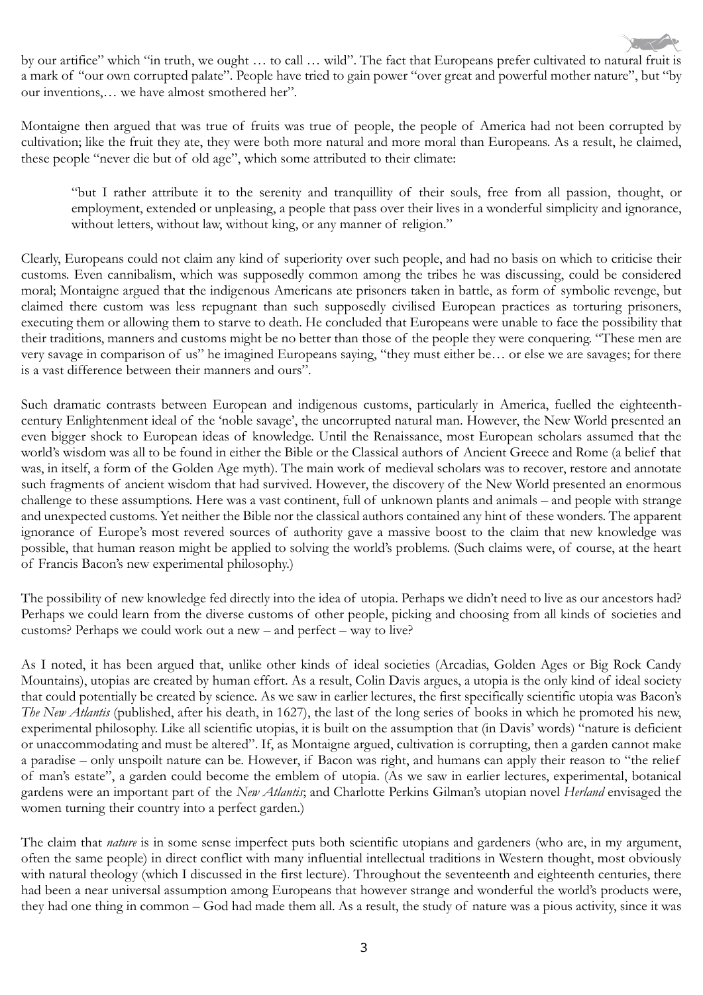

by our artifice" which "in truth, we ought … to call … wild". The fact that Europeans prefer cultivated to natural fruit is a mark of "our own corrupted palate". People have tried to gain power "over great and powerful mother nature", but "by our inventions,… we have almost smothered her".

Montaigne then argued that was true of fruits was true of people, the people of America had not been corrupted by cultivation; like the fruit they ate, they were both more natural and more moral than Europeans. As a result, he claimed, these people "never die but of old age", which some attributed to their climate:

"but I rather attribute it to the serenity and tranquillity of their souls, free from all passion, thought, or employment, extended or unpleasing, a people that pass over their lives in a wonderful simplicity and ignorance, without letters, without law, without king, or any manner of religion."

Clearly, Europeans could not claim any kind of superiority over such people, and had no basis on which to criticise their customs. Even cannibalism, which was supposedly common among the tribes he was discussing, could be considered moral; Montaigne argued that the indigenous Americans ate prisoners taken in battle, as form of symbolic revenge, but claimed there custom was less repugnant than such supposedly civilised European practices as torturing prisoners, executing them or allowing them to starve to death. He concluded that Europeans were unable to face the possibility that their traditions, manners and customs might be no better than those of the people they were conquering. "These men are very savage in comparison of us" he imagined Europeans saying, "they must either be… or else we are savages; for there is a vast difference between their manners and ours".

Such dramatic contrasts between European and indigenous customs, particularly in America, fuelled the eighteenthcentury Enlightenment ideal of the 'noble savage', the uncorrupted natural man. However, the New World presented an even bigger shock to European ideas of knowledge. Until the Renaissance, most European scholars assumed that the world's wisdom was all to be found in either the Bible or the Classical authors of Ancient Greece and Rome (a belief that was, in itself, a form of the Golden Age myth). The main work of medieval scholars was to recover, restore and annotate such fragments of ancient wisdom that had survived. However, the discovery of the New World presented an enormous challenge to these assumptions. Here was a vast continent, full of unknown plants and animals – and people with strange and unexpected customs. Yet neither the Bible nor the classical authors contained any hint of these wonders. The apparent ignorance of Europe's most revered sources of authority gave a massive boost to the claim that new knowledge was possible, that human reason might be applied to solving the world's problems. (Such claims were, of course, at the heart of Francis Bacon's new experimental philosophy.)

The possibility of new knowledge fed directly into the idea of utopia. Perhaps we didn't need to live as our ancestors had? Perhaps we could learn from the diverse customs of other people, picking and choosing from all kinds of societies and customs? Perhaps we could work out a new – and perfect – way to live?

As I noted, it has been argued that, unlike other kinds of ideal societies (Arcadias, Golden Ages or Big Rock Candy Mountains), utopias are created by human effort. As a result, Colin Davis argues, a utopia is the only kind of ideal society that could potentially be created by science. As we saw in earlier lectures, the first specifically scientific utopia was Bacon's *The New Atlantis* (published, after his death, in 1627), the last of the long series of books in which he promoted his new, experimental philosophy. Like all scientific utopias, it is built on the assumption that (in Davis' words) "nature is deficient or unaccommodating and must be altered". If, as Montaigne argued, cultivation is corrupting, then a garden cannot make a paradise – only unspoilt nature can be. However, if Bacon was right, and humans can apply their reason to "the relief of man's estate", a garden could become the emblem of utopia. (As we saw in earlier lectures, experimental, botanical gardens were an important part of the *New Atlantis*; and Charlotte Perkins Gilman's utopian novel *Herland* envisaged the women turning their country into a perfect garden.)

The claim that *nature* is in some sense imperfect puts both scientific utopians and gardeners (who are, in my argument, often the same people) in direct conflict with many influential intellectual traditions in Western thought, most obviously with natural theology (which I discussed in the first lecture). Throughout the seventeenth and eighteenth centuries, there had been a near universal assumption among Europeans that however strange and wonderful the world's products were, they had one thing in common – God had made them all. As a result, the study of nature was a pious activity, since it was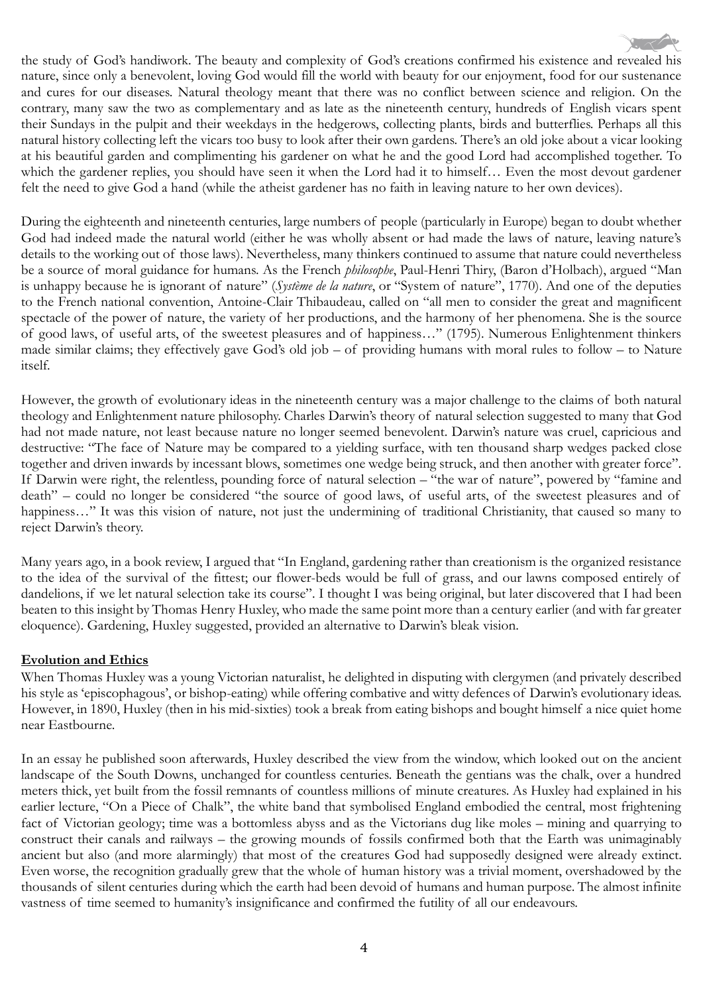the study of God's handiwork. The beauty and complexity of God's creations confirmed his existence and revealed his nature, since only a benevolent, loving God would fill the world with beauty for our enjoyment, food for our sustenance and cures for our diseases. Natural theology meant that there was no conflict between science and religion. On the contrary, many saw the two as complementary and as late as the nineteenth century, hundreds of English vicars spent their Sundays in the pulpit and their weekdays in the hedgerows, collecting plants, birds and butterflies. Perhaps all this natural history collecting left the vicars too busy to look after their own gardens. There's an old joke about a vicar looking at his beautiful garden and complimenting his gardener on what he and the good Lord had accomplished together. To which the gardener replies, you should have seen it when the Lord had it to himself… Even the most devout gardener felt the need to give God a hand (while the atheist gardener has no faith in leaving nature to her own devices).

During the eighteenth and nineteenth centuries, large numbers of people (particularly in Europe) began to doubt whether God had indeed made the natural world (either he was wholly absent or had made the laws of nature, leaving nature's details to the working out of those laws). Nevertheless, many thinkers continued to assume that nature could nevertheless be a source of moral guidance for humans. As the French *philosophe*, Paul-Henri Thiry, (Baron d'Holbach), argued "Man is unhappy because he is ignorant of nature" (*Système de la nature*, or "System of nature", 1770). And one of the deputies to the French national convention, Antoine-Clair Thibaudeau, called on "all men to consider the great and magnificent spectacle of the power of nature, the variety of her productions, and the harmony of her phenomena. She is the source of good laws, of useful arts, of the sweetest pleasures and of happiness…" (1795). Numerous Enlightenment thinkers made similar claims; they effectively gave God's old job – of providing humans with moral rules to follow – to Nature itself.

However, the growth of evolutionary ideas in the nineteenth century was a major challenge to the claims of both natural theology and Enlightenment nature philosophy. Charles Darwin's theory of natural selection suggested to many that God had not made nature, not least because nature no longer seemed benevolent. Darwin's nature was cruel, capricious and destructive: "The face of Nature may be compared to a yielding surface, with ten thousand sharp wedges packed close together and driven inwards by incessant blows, sometimes one wedge being struck, and then another with greater force". If Darwin were right, the relentless, pounding force of natural selection – "the war of nature", powered by "famine and death" – could no longer be considered "the source of good laws, of useful arts, of the sweetest pleasures and of happiness..." It was this vision of nature, not just the undermining of traditional Christianity, that caused so many to reject Darwin's theory.

Many years ago, in a book review, I argued that "In England, gardening rather than creationism is the organized resistance to the idea of the survival of the fittest; our flower-beds would be full of grass, and our lawns composed entirely of dandelions, if we let natural selection take its course". I thought I was being original, but later discovered that I had been beaten to this insight by Thomas Henry Huxley, who made the same point more than a century earlier (and with far greater eloquence). Gardening, Huxley suggested, provided an alternative to Darwin's bleak vision.

## **Evolution and Ethics**

When Thomas Huxley was a young Victorian naturalist, he delighted in disputing with clergymen (and privately described his style as 'episcophagous', or bishop-eating) while offering combative and witty defences of Darwin's evolutionary ideas. However, in 1890, Huxley (then in his mid-sixties) took a break from eating bishops and bought himself a nice quiet home near Eastbourne.

In an essay he published soon afterwards, Huxley described the view from the window, which looked out on the ancient landscape of the South Downs, unchanged for countless centuries. Beneath the gentians was the chalk, over a hundred meters thick, yet built from the fossil remnants of countless millions of minute creatures. As Huxley had explained in his earlier lecture, "On a Piece of Chalk", the white band that symbolised England embodied the central, most frightening fact of Victorian geology; time was a bottomless abyss and as the Victorians dug like moles – mining and quarrying to construct their canals and railways – the growing mounds of fossils confirmed both that the Earth was unimaginably ancient but also (and more alarmingly) that most of the creatures God had supposedly designed were already extinct. Even worse, the recognition gradually grew that the whole of human history was a trivial moment, overshadowed by the thousands of silent centuries during which the earth had been devoid of humans and human purpose. The almost infinite vastness of time seemed to humanity's insignificance and confirmed the futility of all our endeavours.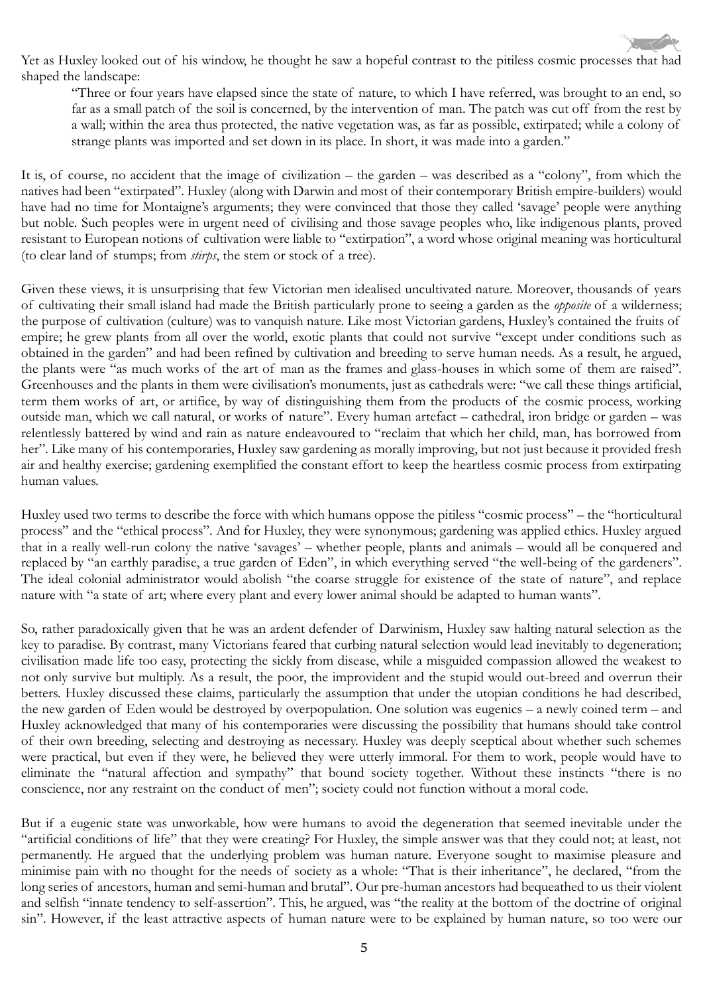Yet as Huxley looked out of his window, he thought he saw a hopeful contrast to the pitiless cosmic processes that had shaped the landscape:

"Three or four years have elapsed since the state of nature, to which I have referred, was brought to an end, so far as a small patch of the soil is concerned, by the intervention of man. The patch was cut off from the rest by a wall; within the area thus protected, the native vegetation was, as far as possible, extirpated; while a colony of strange plants was imported and set down in its place. In short, it was made into a garden."

It is, of course, no accident that the image of civilization – the garden – was described as a "colony", from which the natives had been "extirpated". Huxley (along with Darwin and most of their contemporary British empire-builders) would have had no time for Montaigne's arguments; they were convinced that those they called 'savage' people were anything but noble. Such peoples were in urgent need of civilising and those savage peoples who, like indigenous plants, proved resistant to European notions of cultivation were liable to "extirpation", a word whose original meaning was horticultural (to clear land of stumps; from *stirps*, the stem or stock of a tree).

Given these views, it is unsurprising that few Victorian men idealised uncultivated nature. Moreover, thousands of years of cultivating their small island had made the British particularly prone to seeing a garden as the *opposite* of a wilderness; the purpose of cultivation (culture) was to vanquish nature. Like most Victorian gardens, Huxley's contained the fruits of empire; he grew plants from all over the world, exotic plants that could not survive "except under conditions such as obtained in the garden" and had been refined by cultivation and breeding to serve human needs. As a result, he argued, the plants were "as much works of the art of man as the frames and glass-houses in which some of them are raised". Greenhouses and the plants in them were civilisation's monuments, just as cathedrals were: "we call these things artificial, term them works of art, or artifice, by way of distinguishing them from the products of the cosmic process, working outside man, which we call natural, or works of nature". Every human artefact – cathedral, iron bridge or garden – was relentlessly battered by wind and rain as nature endeavoured to "reclaim that which her child, man, has borrowed from her". Like many of his contemporaries, Huxley saw gardening as morally improving, but not just because it provided fresh air and healthy exercise; gardening exemplified the constant effort to keep the heartless cosmic process from extirpating human values.

Huxley used two terms to describe the force with which humans oppose the pitiless "cosmic process" – the "horticultural process" and the "ethical process". And for Huxley, they were synonymous; gardening was applied ethics. Huxley argued that in a really well-run colony the native 'savages' – whether people, plants and animals – would all be conquered and replaced by "an earthly paradise, a true garden of Eden", in which everything served "the well-being of the gardeners". The ideal colonial administrator would abolish "the coarse struggle for existence of the state of nature", and replace nature with "a state of art; where every plant and every lower animal should be adapted to human wants".

So, rather paradoxically given that he was an ardent defender of Darwinism, Huxley saw halting natural selection as the key to paradise. By contrast, many Victorians feared that curbing natural selection would lead inevitably to degeneration; civilisation made life too easy, protecting the sickly from disease, while a misguided compassion allowed the weakest to not only survive but multiply. As a result, the poor, the improvident and the stupid would out-breed and overrun their betters. Huxley discussed these claims, particularly the assumption that under the utopian conditions he had described, the new garden of Eden would be destroyed by overpopulation. One solution was eugenics – a newly coined term – and Huxley acknowledged that many of his contemporaries were discussing the possibility that humans should take control of their own breeding, selecting and destroying as necessary. Huxley was deeply sceptical about whether such schemes were practical, but even if they were, he believed they were utterly immoral. For them to work, people would have to eliminate the "natural affection and sympathy" that bound society together. Without these instincts "there is no conscience, nor any restraint on the conduct of men"; society could not function without a moral code.

But if a eugenic state was unworkable, how were humans to avoid the degeneration that seemed inevitable under the "artificial conditions of life" that they were creating? For Huxley, the simple answer was that they could not; at least, not permanently. He argued that the underlying problem was human nature. Everyone sought to maximise pleasure and minimise pain with no thought for the needs of society as a whole: "That is their inheritance", he declared, "from the long series of ancestors, human and semi-human and brutal". Our pre-human ancestors had bequeathed to us their violent and selfish "innate tendency to self-assertion". This, he argued, was "the reality at the bottom of the doctrine of original sin". However, if the least attractive aspects of human nature were to be explained by human nature, so too were our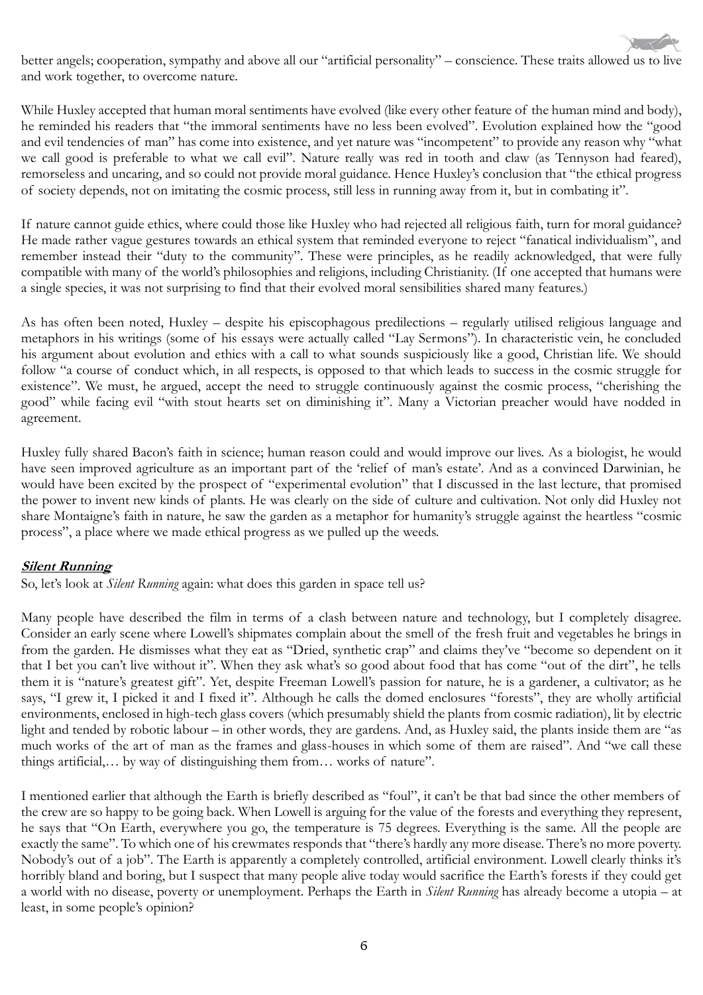better angels; cooperation, sympathy and above all our "artificial personality" – conscience. These traits allowed us to live and work together, to overcome nature.

While Huxley accepted that human moral sentiments have evolved (like every other feature of the human mind and body), he reminded his readers that "the immoral sentiments have no less been evolved". Evolution explained how the "good and evil tendencies of man" has come into existence, and yet nature was "incompetent" to provide any reason why "what we call good is preferable to what we call evil". Nature really was red in tooth and claw (as Tennyson had feared), remorseless and uncaring, and so could not provide moral guidance. Hence Huxley's conclusion that "the ethical progress of society depends, not on imitating the cosmic process, still less in running away from it, but in combating it".

If nature cannot guide ethics, where could those like Huxley who had rejected all religious faith, turn for moral guidance? He made rather vague gestures towards an ethical system that reminded everyone to reject "fanatical individualism", and remember instead their "duty to the community". These were principles, as he readily acknowledged, that were fully compatible with many of the world's philosophies and religions, including Christianity. (If one accepted that humans were a single species, it was not surprising to find that their evolved moral sensibilities shared many features.)

As has often been noted, Huxley – despite his episcophagous predilections – regularly utilised religious language and metaphors in his writings (some of his essays were actually called "Lay Sermons"). In characteristic vein, he concluded his argument about evolution and ethics with a call to what sounds suspiciously like a good, Christian life. We should follow "a course of conduct which, in all respects, is opposed to that which leads to success in the cosmic struggle for existence". We must, he argued, accept the need to struggle continuously against the cosmic process, "cherishing the good" while facing evil "with stout hearts set on diminishing it". Many a Victorian preacher would have nodded in agreement.

Huxley fully shared Bacon's faith in science; human reason could and would improve our lives. As a biologist, he would have seen improved agriculture as an important part of the 'relief of man's estate'. And as a convinced Darwinian, he would have been excited by the prospect of "experimental evolution" that I discussed in the last lecture, that promised the power to invent new kinds of plants. He was clearly on the side of culture and cultivation. Not only did Huxley not share Montaigne's faith in nature, he saw the garden as a metaphor for humanity's struggle against the heartless "cosmic process", a place where we made ethical progress as we pulled up the weeds.

## **Silent Running**

So, let's look at *Silent Running* again: what does this garden in space tell us?

Many people have described the film in terms of a clash between nature and technology, but I completely disagree. Consider an early scene where Lowell's shipmates complain about the smell of the fresh fruit and vegetables he brings in from the garden. He dismisses what they eat as "Dried, synthetic crap" and claims they've "become so dependent on it that I bet you can't live without it". When they ask what's so good about food that has come "out of the dirt", he tells them it is "nature's greatest gift". Yet, despite Freeman Lowell's passion for nature, he is a gardener, a cultivator; as he says, "I grew it, I picked it and I fixed it". Although he calls the domed enclosures "forests", they are wholly artificial environments, enclosed in high-tech glass covers (which presumably shield the plants from cosmic radiation), lit by electric light and tended by robotic labour – in other words, they are gardens. And, as Huxley said, the plants inside them are "as much works of the art of man as the frames and glass-houses in which some of them are raised". And "we call these things artificial,… by way of distinguishing them from… works of nature".

I mentioned earlier that although the Earth is briefly described as "foul", it can't be that bad since the other members of the crew are so happy to be going back. When Lowell is arguing for the value of the forests and everything they represent, he says that "On Earth, everywhere you go, the temperature is 75 degrees. Everything is the same. All the people are exactly the same". To which one of his crewmates responds that "there's hardly any more disease. There's no more poverty. Nobody's out of a job". The Earth is apparently a completely controlled, artificial environment. Lowell clearly thinks it's horribly bland and boring, but I suspect that many people alive today would sacrifice the Earth's forests if they could get a world with no disease, poverty or unemployment. Perhaps the Earth in *Silent Running* has already become a utopia – at least, in some people's opinion?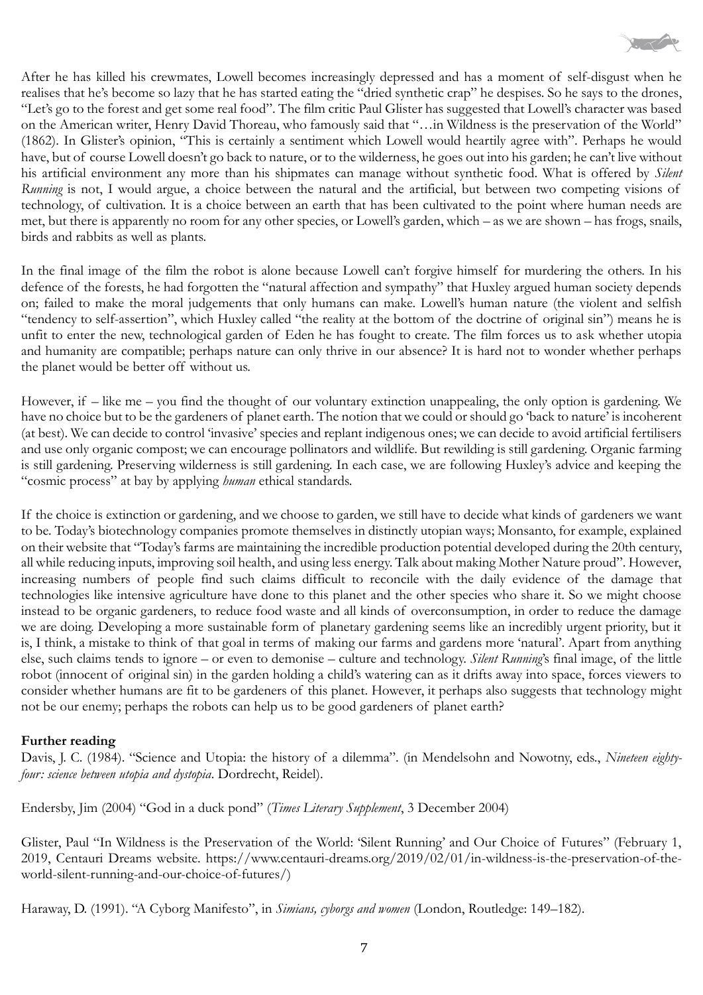

After he has killed his crewmates, Lowell becomes increasingly depressed and has a moment of self-disgust when he realises that he's become so lazy that he has started eating the "dried synthetic crap" he despises. So he says to the drones, "Let's go to the forest and get some real food". The film critic Paul Glister has suggested that Lowell's character was based on the American writer, Henry David Thoreau, who famously said that "…in Wildness is the preservation of the World" (1862). In Glister's opinion, "This is certainly a sentiment which Lowell would heartily agree with". Perhaps he would have, but of course Lowell doesn't go back to nature, or to the wilderness, he goes out into his garden; he can't live without his artificial environment any more than his shipmates can manage without synthetic food. What is offered by *Silent Running* is not, I would argue, a choice between the natural and the artificial, but between two competing visions of technology, of cultivation. It is a choice between an earth that has been cultivated to the point where human needs are met, but there is apparently no room for any other species, or Lowell's garden, which – as we are shown – has frogs, snails, birds and rabbits as well as plants.

In the final image of the film the robot is alone because Lowell can't forgive himself for murdering the others. In his defence of the forests, he had forgotten the "natural affection and sympathy" that Huxley argued human society depends on; failed to make the moral judgements that only humans can make. Lowell's human nature (the violent and selfish "tendency to self-assertion", which Huxley called "the reality at the bottom of the doctrine of original sin") means he is unfit to enter the new, technological garden of Eden he has fought to create. The film forces us to ask whether utopia and humanity are compatible; perhaps nature can only thrive in our absence? It is hard not to wonder whether perhaps the planet would be better off without us.

However, if – like me – you find the thought of our voluntary extinction unappealing, the only option is gardening. We have no choice but to be the gardeners of planet earth. The notion that we could or should go 'back to nature' is incoherent (at best). We can decide to control 'invasive' species and replant indigenous ones; we can decide to avoid artificial fertilisers and use only organic compost; we can encourage pollinators and wildlife. But rewilding is still gardening. Organic farming is still gardening. Preserving wilderness is still gardening. In each case, we are following Huxley's advice and keeping the "cosmic process" at bay by applying *human* ethical standards.

If the choice is extinction or gardening, and we choose to garden, we still have to decide what kinds of gardeners we want to be. Today's biotechnology companies promote themselves in distinctly utopian ways; Monsanto, for example, explained on their website that "Today's farms are maintaining the incredible production potential developed during the 20th century, all while reducing inputs, improving soil health, and using less energy. Talk about making Mother Nature proud". However, increasing numbers of people find such claims difficult to reconcile with the daily evidence of the damage that technologies like intensive agriculture have done to this planet and the other species who share it. So we might choose instead to be organic gardeners, to reduce food waste and all kinds of overconsumption, in order to reduce the damage we are doing. Developing a more sustainable form of planetary gardening seems like an incredibly urgent priority, but it is, I think, a mistake to think of that goal in terms of making our farms and gardens more 'natural'. Apart from anything else, such claims tends to ignore – or even to demonise – culture and technology. *Silent Running*'s final image, of the little robot (innocent of original sin) in the garden holding a child's watering can as it drifts away into space, forces viewers to consider whether humans are fit to be gardeners of this planet. However, it perhaps also suggests that technology might not be our enemy; perhaps the robots can help us to be good gardeners of planet earth?

#### **Further reading**

Davis, J. C. (1984). "Science and Utopia: the history of a dilemma". (in Mendelsohn and Nowotny, eds., *Nineteen eightyfour: science between utopia and dystopia*. Dordrecht, Reidel).

Endersby, Jim (2004) "God in a duck pond" (*Times Literary Supplement*, 3 December 2004)

Glister, Paul "In Wildness is the Preservation of the World: 'Silent Running' and Our Choice of Futures" (February 1, 2019, Centauri Dreams website. https://www.centauri-dreams.org/2019/02/01/in-wildness-is-the-preservation-of-theworld-silent-running-and-our-choice-of-futures/)

Haraway, D. (1991). "A Cyborg Manifesto", in *Simians, cyborgs and women* (London, Routledge: 149–182).